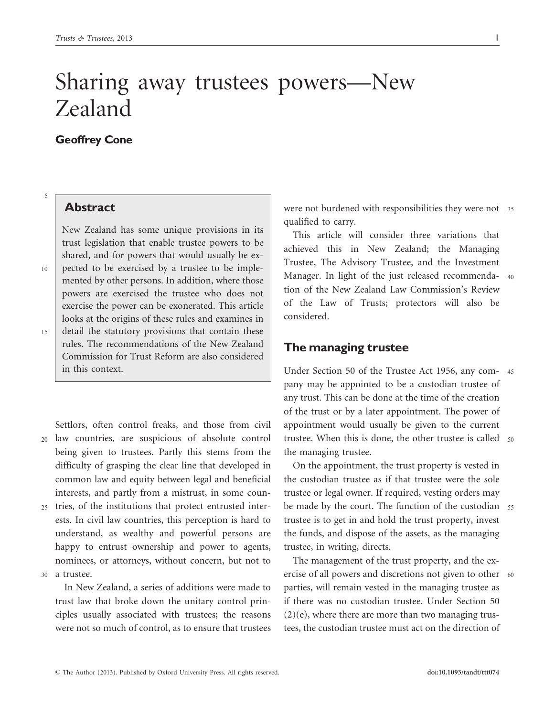# Sharing away trustees powers—New Zealand

# Geoffrey Cone

# 5

# Abstract

New Zealand has some unique provisions in its trust legislation that enable trustee powers to be shared, and for powers that would usually be ex-<sup>10</sup> pected to be exercised by a trustee to be implemented by other persons. In addition, where those powers are exercised the trustee who does not exercise the power can be exonerated. This article looks at the origins of these rules and examines in <sup>15</sup> detail the statutory provisions that contain these rules. The recommendations of the New Zealand Commission for Trust Reform are also considered in this context.

Settlors, often control freaks, and those from civil <sup>20</sup> law countries, are suspicious of absolute control being given to trustees. Partly this stems from the difficulty of grasping the clear line that developed in common law and equity between legal and beneficial interests, and partly from a mistrust, in some coun-

<sup>25</sup> tries, of the institutions that protect entrusted interests. In civil law countries, this perception is hard to understand, as wealthy and powerful persons are happy to entrust ownership and power to agents, nominees, or attorneys, without concern, but not to

<sup>30</sup> a trustee.

In New Zealand, a series of additions were made to trust law that broke down the unitary control principles usually associated with trustees; the reasons were not so much of control, as to ensure that trustees were not burdened with responsibilities they were not <sup>35</sup> qualified to carry.

This article will consider three variations that achieved this in New Zealand; the Managing Trustee, The Advisory Trustee, and the Investment Manager. In light of the just released recommenda- <sup>40</sup> tion of the New Zealand Law Commission's Review of the Law of Trusts; protectors will also be considered.

# The managing trustee

Under Section 50 of the Trustee Act 1956, any com- <sup>45</sup> pany may be appointed to be a custodian trustee of any trust. This can be done at the time of the creation of the trust or by a later appointment. The power of appointment would usually be given to the current trustee. When this is done, the other trustee is called 50 the managing trustee.

On the appointment, the trust property is vested in the custodian trustee as if that trustee were the sole trustee or legal owner. If required, vesting orders may be made by the court. The function of the custodian 55 trustee is to get in and hold the trust property, invest the funds, and dispose of the assets, as the managing trustee, in writing, directs.

The management of the trust property, and the exercise of all powers and discretions not given to other 60 parties, will remain vested in the managing trustee as if there was no custodian trustee. Under Section 50  $(2)(e)$ , where there are more than two managing trustees, the custodian trustee must act on the direction of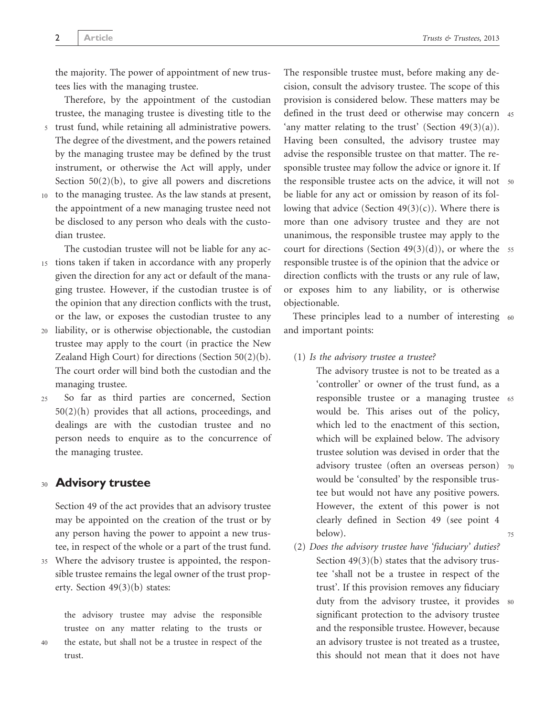the majority. The power of appointment of new trustees lies with the managing trustee.

Therefore, by the appointment of the custodian trustee, the managing trustee is divesting title to the

- <sup>5</sup> trust fund, while retaining all administrative powers. The degree of the divestment, and the powers retained by the managing trustee may be defined by the trust instrument, or otherwise the Act will apply, under Section  $50(2)(b)$ , to give all powers and discretions
- <sup>10</sup> to the managing trustee. As the law stands at present, the appointment of a new managing trustee need not be disclosed to any person who deals with the custodian trustee.

The custodian trustee will not be liable for any ac-

- <sup>15</sup> tions taken if taken in accordance with any properly given the direction for any act or default of the managing trustee. However, if the custodian trustee is of the opinion that any direction conflicts with the trust, or the law, or exposes the custodian trustee to any
- <sup>20</sup> liability, or is otherwise objectionable, the custodian trustee may apply to the court (in practice the New Zealand High Court) for directions (Section 50(2)(b). The court order will bind both the custodian and the managing trustee.
- <sup>25</sup> So far as third parties are concerned, Section 50(2)(h) provides that all actions, proceedings, and dealings are with the custodian trustee and no person needs to enquire as to the concurrence of the managing trustee.

#### 30 **Advisory trustee**

Section 49 of the act provides that an advisory trustee may be appointed on the creation of the trust or by any person having the power to appoint a new trustee, in respect of the whole or a part of the trust fund.

<sup>35</sup> Where the advisory trustee is appointed, the responsible trustee remains the legal owner of the trust property. Section 49(3)(b) states:

the advisory trustee may advise the responsible trustee on any matter relating to the trusts or <sup>40</sup> the estate, but shall not be a trustee in respect of the trust.

The responsible trustee must, before making any decision, consult the advisory trustee. The scope of this provision is considered below. These matters may be defined in the trust deed or otherwise may concern <sup>45</sup> 'any matter relating to the trust' (Section  $49(3)(a)$ ). Having been consulted, the advisory trustee may advise the responsible trustee on that matter. The responsible trustee may follow the advice or ignore it. If the responsible trustee acts on the advice, it will not 50 be liable for any act or omission by reason of its following that advice (Section  $49(3)(c)$ ). Where there is more than one advisory trustee and they are not unanimous, the responsible trustee may apply to the court for directions (Section 49(3)(d)), or where the  $55$ responsible trustee is of the opinion that the advice or direction conflicts with the trusts or any rule of law, or exposes him to any liability, or is otherwise objectionable.

These principles lead to a number of interesting 60 and important points:

(1) Is the advisory trustee a trustee?

The advisory trustee is not to be treated as a 'controller' or owner of the trust fund, as a responsible trustee or a managing trustee <sup>65</sup> would be. This arises out of the policy, which led to the enactment of this section, which will be explained below. The advisory trustee solution was devised in order that the advisory trustee (often an overseas person) <sup>70</sup> would be 'consulted' by the responsible trustee but would not have any positive powers. However, the extent of this power is not clearly defined in Section 49 (see point 4  $\text{below)}$ . 75

(2) Does the advisory trustee have 'fiduciary' duties? Section  $49(3)(b)$  states that the advisory trustee 'shall not be a trustee in respect of the trust'. If this provision removes any fiduciary duty from the advisory trustee, it provides 80 significant protection to the advisory trustee and the responsible trustee. However, because an advisory trustee is not treated as a trustee, this should not mean that it does not have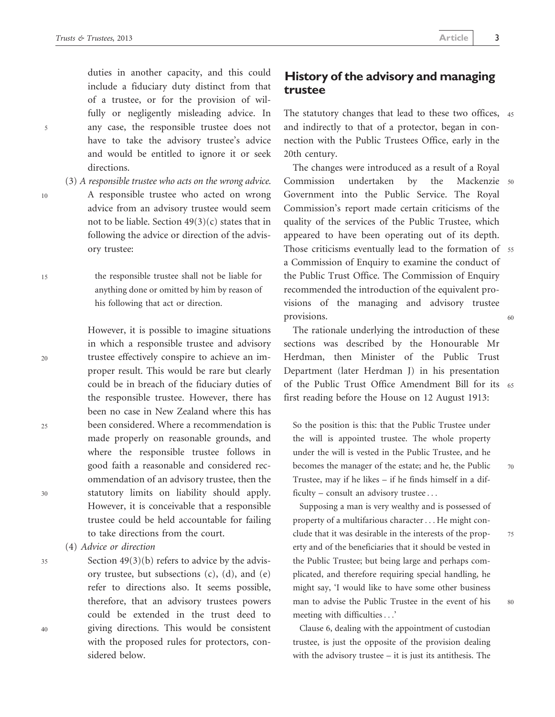duties in another capacity, and this could include a fiduciary duty distinct from that of a trustee, or for the provision of wilfully or negligently misleading advice. In <sup>5</sup> any case, the responsible trustee does not have to take the advisory trustee's advice and would be entitled to ignore it or seek directions.

- (3) A responsible trustee who acts on the wrong advice. <sup>10</sup> A responsible trustee who acted on wrong advice from an advisory trustee would seem not to be liable. Section  $49(3)(c)$  states that in following the advice or direction of the advisory trustee:
- 15 the responsible trustee shall not be liable for anything done or omitted by him by reason of his following that act or direction.

However, it is possible to imagine situations in which a responsible trustee and advisory <sup>20</sup> trustee effectively conspire to achieve an improper result. This would be rare but clearly could be in breach of the fiduciary duties of the responsible trustee. However, there has been no case in New Zealand where this has <sup>25</sup> been considered. Where a recommendation is made properly on reasonable grounds, and where the responsible trustee follows in good faith a reasonable and considered recommendation of an advisory trustee, then the <sup>30</sup> statutory limits on liability should apply. However, it is conceivable that a responsible trustee could be held accountable for failing to take directions from the court.

- (4) Advice or direction
- <sup>35</sup> Section 49(3)(b) refers to advice by the advisory trustee, but subsections (c), (d), and (e) refer to directions also. It seems possible, therefore, that an advisory trustees powers could be extended in the trust deed to <sup>40</sup> giving directions. This would be consistent with the proposed rules for protectors, considered below.

# History of the advisory and managing trustee

The statutory changes that lead to these two offices, <sup>45</sup> and indirectly to that of a protector, began in connection with the Public Trustees Office, early in the 20th century.

The changes were introduced as a result of a Royal Commission undertaken by the Mackenzie <sup>50</sup> Government into the Public Service. The Royal Commission's report made certain criticisms of the quality of the services of the Public Trustee, which appeared to have been operating out of its depth. Those criticisms eventually lead to the formation of 55 a Commission of Enquiry to examine the conduct of the Public Trust Office. The Commission of Enquiry recommended the introduction of the equivalent provisions of the managing and advisory trustee provisions. 60

The rationale underlying the introduction of these sections was described by the Honourable Mr Herdman, then Minister of the Public Trust Department (later Herdman J) in his presentation of the Public Trust Office Amendment Bill for its <sup>65</sup> first reading before the House on 12 August 1913:

So the position is this: that the Public Trustee under the will is appointed trustee. The whole property under the will is vested in the Public Trustee, and he becomes the manager of the estate; and he, the Public  $\qquad$  70 Trustee, may if he likes – if he finds himself in a difficulty – consult an advisory trustee ...

Supposing a man is very wealthy and is possessed of property of a multifarious character... He might conclude that it was desirable in the interests of the prop- <sup>75</sup> erty and of the beneficiaries that it should be vested in the Public Trustee; but being large and perhaps complicated, and therefore requiring special handling, he might say, 'I would like to have some other business man to advise the Public Trustee in the event of his 80 meeting with difficulties...'

Clause 6, dealing with the appointment of custodian trustee, is just the opposite of the provision dealing with the advisory trustee – it is just its antithesis. The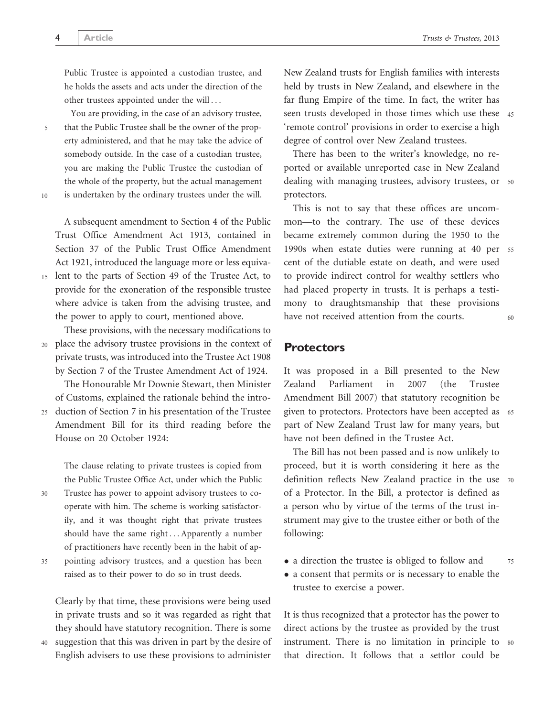Public Trustee is appointed a custodian trustee, and he holds the assets and acts under the direction of the other trustees appointed under the will ...

You are providing, in the case of an advisory trustee,

<sup>5</sup> that the Public Trustee shall be the owner of the property administered, and that he may take the advice of somebody outside. In the case of a custodian trustee, you are making the Public Trustee the custodian of the whole of the property, but the actual management <sup>10</sup> is undertaken by the ordinary trustees under the will.

A subsequent amendment to Section 4 of the Public Trust Office Amendment Act 1913, contained in Section 37 of the Public Trust Office Amendment Act 1921, introduced the language more or less equiva-

<sup>15</sup> lent to the parts of Section 49 of the Trustee Act, to provide for the exoneration of the responsible trustee where advice is taken from the advising trustee, and the power to apply to court, mentioned above.

These provisions, with the necessary modifications to

<sup>20</sup> place the advisory trustee provisions in the context of private trusts, was introduced into the Trustee Act 1908 by Section 7 of the Trustee Amendment Act of 1924.

The Honourable Mr Downie Stewart, then Minister of Customs, explained the rationale behind the intro-

<sup>25</sup> duction of Section 7 in his presentation of the Trustee Amendment Bill for its third reading before the House on 20 October 1924:

The clause relating to private trustees is copied from the Public Trustee Office Act, under which the Public <sup>30</sup> Trustee has power to appoint advisory trustees to co-

- operate with him. The scheme is working satisfactorily, and it was thought right that private trustees should have the same right ... Apparently a number of practitioners have recently been in the habit of ap-
- <sup>35</sup> pointing advisory trustees, and a question has been raised as to their power to do so in trust deeds.

Clearly by that time, these provisions were being used in private trusts and so it was regarded as right that they should have statutory recognition. There is some

<sup>40</sup> suggestion that this was driven in part by the desire of English advisers to use these provisions to administer

New Zealand trusts for English families with interests held by trusts in New Zealand, and elsewhere in the far flung Empire of the time. In fact, the writer has seen trusts developed in those times which use these <sup>45</sup> 'remote control' provisions in order to exercise a high degree of control over New Zealand trustees.

There has been to the writer's knowledge, no reported or available unreported case in New Zealand dealing with managing trustees, advisory trustees, or 50 protectors.

This is not to say that these offices are uncommon—to the contrary. The use of these devices became extremely common during the 1950 to the 1990s when estate duties were running at 40 per <sup>55</sup> cent of the dutiable estate on death, and were used to provide indirect control for wealthy settlers who had placed property in trusts. It is perhaps a testimony to draughtsmanship that these provisions have not received attention from the courts. 60

# **Protectors**

It was proposed in a Bill presented to the New Zealand Parliament in 2007 (the Trustee Amendment Bill 2007) that statutory recognition be given to protectors. Protectors have been accepted as 65 part of New Zealand Trust law for many years, but have not been defined in the Trustee Act.

The Bill has not been passed and is now unlikely to proceed, but it is worth considering it here as the definition reflects New Zealand practice in the use <sup>70</sup> of a Protector. In the Bill, a protector is defined as a person who by virtue of the terms of the trust instrument may give to the trustee either or both of the following:

- a direction the trustee is obliged to follow and 75
- a consent that permits or is necessary to enable the trustee to exercise a power.

It is thus recognized that a protector has the power to direct actions by the trustee as provided by the trust instrument. There is no limitation in principle to  $80$ that direction. It follows that a settlor could be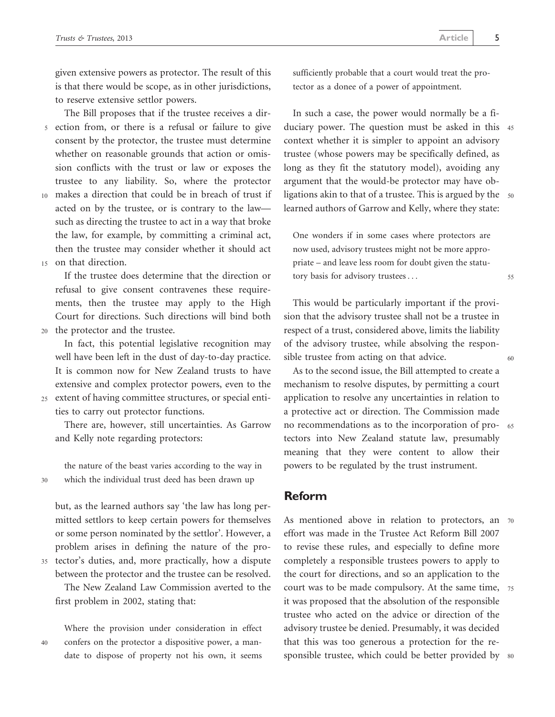given extensive powers as protector. The result of this is that there would be scope, as in other jurisdictions, to reserve extensive settlor powers.

The Bill proposes that if the trustee receives a dir-<sup>5</sup> ection from, or there is a refusal or failure to give consent by the protector, the trustee must determine whether on reasonable grounds that action or omission conflicts with the trust or law or exposes the trustee to any liability. So, where the protector

<sup>10</sup> makes a direction that could be in breach of trust if acted on by the trustee, or is contrary to the law such as directing the trustee to act in a way that broke the law, for example, by committing a criminal act, then the trustee may consider whether it should act <sup>15</sup> on that direction.

If the trustee does determine that the direction or refusal to give consent contravenes these requirements, then the trustee may apply to the High Court for directions. Such directions will bind both <sup>20</sup> the protector and the trustee.

In fact, this potential legislative recognition may well have been left in the dust of day-to-day practice. It is common now for New Zealand trusts to have extensive and complex protector powers, even to the

<sup>25</sup> extent of having committee structures, or special entities to carry out protector functions.

There are, however, still uncertainties. As Garrow and Kelly note regarding protectors:

the nature of the beast varies according to the way in 30 which the individual trust deed has been drawn up

but, as the learned authors say 'the law has long permitted settlors to keep certain powers for themselves or some person nominated by the settlor'. However, a problem arises in defining the nature of the pro-<sup>35</sup> tector's duties, and, more practically, how a dispute

between the protector and the trustee can be resolved. The New Zealand Law Commission averted to the first problem in 2002, stating that:

Where the provision under consideration in effect <sup>40</sup> confers on the protector a dispositive power, a mandate to dispose of property not his own, it seems

sufficiently probable that a court would treat the protector as a donee of a power of appointment.

In such a case, the power would normally be a fiduciary power. The question must be asked in this <sup>45</sup> context whether it is simpler to appoint an advisory trustee (whose powers may be specifically defined, as long as they fit the statutory model), avoiding any argument that the would-be protector may have obligations akin to that of a trustee. This is argued by the 50 learned authors of Garrow and Kelly, where they state:

One wonders if in some cases where protectors are now used, advisory trustees might not be more appropriate – and leave less room for doubt given the statutory basis for advisory trustees... 55

This would be particularly important if the provision that the advisory trustee shall not be a trustee in respect of a trust, considered above, limits the liability of the advisory trustee, while absolving the responsible trustee from acting on that advice. 60

As to the second issue, the Bill attempted to create a mechanism to resolve disputes, by permitting a court application to resolve any uncertainties in relation to a protective act or direction. The Commission made no recommendations as to the incorporation of pro- <sup>65</sup> tectors into New Zealand statute law, presumably meaning that they were content to allow their powers to be regulated by the trust instrument.

#### Reform

As mentioned above in relation to protectors, an <sup>70</sup> effort was made in the Trustee Act Reform Bill 2007 to revise these rules, and especially to define more completely a responsible trustees powers to apply to the court for directions, and so an application to the court was to be made compulsory. At the same time, <sup>75</sup> it was proposed that the absolution of the responsible trustee who acted on the advice or direction of the advisory trustee be denied. Presumably, it was decided that this was too generous a protection for the responsible trustee, which could be better provided by 80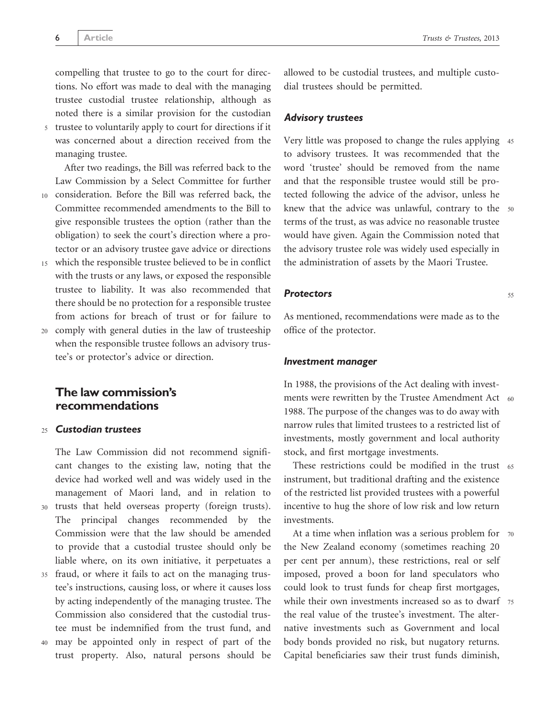compelling that trustee to go to the court for directions. No effort was made to deal with the managing trustee custodial trustee relationship, although as noted there is a similar provision for the custodian

<sup>5</sup> trustee to voluntarily apply to court for directions if it was concerned about a direction received from the managing trustee.

After two readings, the Bill was referred back to the Law Commission by a Select Committee for further

- <sup>10</sup> consideration. Before the Bill was referred back, the Committee recommended amendments to the Bill to give responsible trustees the option (rather than the obligation) to seek the court's direction where a protector or an advisory trustee gave advice or directions
- <sup>15</sup> which the responsible trustee believed to be in conflict with the trusts or any laws, or exposed the responsible trustee to liability. It was also recommended that there should be no protection for a responsible trustee from actions for breach of trust or for failure to
- <sup>20</sup> comply with general duties in the law of trusteeship when the responsible trustee follows an advisory trustee's or protector's advice or direction.

# The law commission's recommendations

#### <sup>25</sup> Custodian trustees

The Law Commission did not recommend significant changes to the existing law, noting that the device had worked well and was widely used in the management of Maori land, and in relation to <sup>30</sup> trusts that held overseas property (foreign trusts). The principal changes recommended by the

- Commission were that the law should be amended to provide that a custodial trustee should only be liable where, on its own initiative, it perpetuates a
- <sup>35</sup> fraud, or where it fails to act on the managing trustee's instructions, causing loss, or where it causes loss by acting independently of the managing trustee. The Commission also considered that the custodial trustee must be indemnified from the trust fund, and
- <sup>40</sup> may be appointed only in respect of part of the trust property. Also, natural persons should be

allowed to be custodial trustees, and multiple custodial trustees should be permitted.

#### Advisory trustees

Very little was proposed to change the rules applying <sup>45</sup> to advisory trustees. It was recommended that the word 'trustee' should be removed from the name and that the responsible trustee would still be protected following the advice of the advisor, unless he knew that the advice was unlawful, contrary to the <sup>50</sup> terms of the trust, as was advice no reasonable trustee would have given. Again the Commission noted that the advisory trustee role was widely used especially in the administration of assets by the Maori Trustee.

#### **Protectors** 55

As mentioned, recommendations were made as to the office of the protector.

#### Investment manager

In 1988, the provisions of the Act dealing with investments were rewritten by the Trustee Amendment Act 60 1988. The purpose of the changes was to do away with narrow rules that limited trustees to a restricted list of investments, mostly government and local authority stock, and first mortgage investments.

These restrictions could be modified in the trust 65 instrument, but traditional drafting and the existence of the restricted list provided trustees with a powerful incentive to hug the shore of low risk and low return investments.

At a time when inflation was a serious problem for 70 the New Zealand economy (sometimes reaching 20 per cent per annum), these restrictions, real or self imposed, proved a boon for land speculators who could look to trust funds for cheap first mortgages, while their own investments increased so as to dwarf 75 the real value of the trustee's investment. The alternative investments such as Government and local body bonds provided no risk, but nugatory returns. Capital beneficiaries saw their trust funds diminish,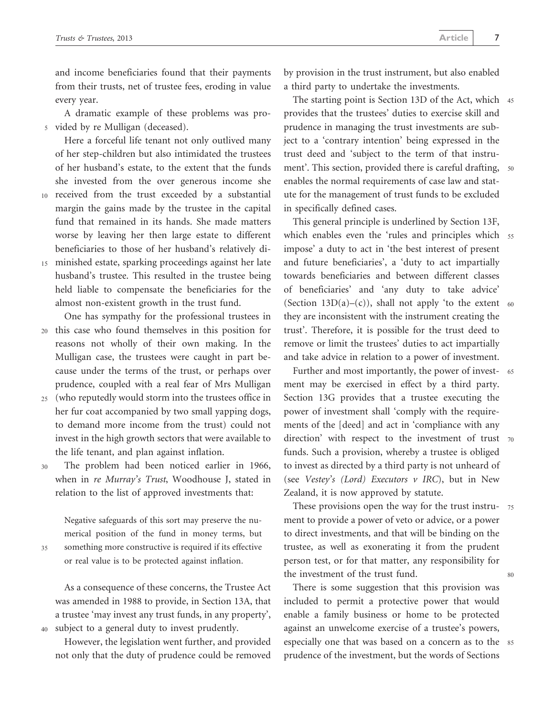and income beneficiaries found that their payments from their trusts, net of trustee fees, eroding in value every year.

A dramatic example of these problems was pro-<sup>5</sup> vided by re Mulligan (deceased).

Here a forceful life tenant not only outlived many of her step-children but also intimidated the trustees of her husband's estate, to the extent that the funds she invested from the over generous income she <sup>10</sup> received from the trust exceeded by a substantial margin the gains made by the trustee in the capital fund that remained in its hands. She made matters worse by leaving her then large estate to different beneficiaries to those of her husband's relatively di-

<sup>15</sup> minished estate, sparking proceedings against her late husband's trustee. This resulted in the trustee being held liable to compensate the beneficiaries for the almost non-existent growth in the trust fund.

One has sympathy for the professional trustees in

- <sup>20</sup> this case who found themselves in this position for reasons not wholly of their own making. In the Mulligan case, the trustees were caught in part because under the terms of the trust, or perhaps over prudence, coupled with a real fear of Mrs Mulligan
- <sup>25</sup> (who reputedly would storm into the trustees office in her fur coat accompanied by two small yapping dogs, to demand more income from the trust) could not invest in the high growth sectors that were available to the life tenant, and plan against inflation.
- <sup>30</sup> The problem had been noticed earlier in 1966, when in re Murray's Trust, Woodhouse J, stated in relation to the list of approved investments that:

Negative safeguards of this sort may preserve the numerical position of the fund in money terms, but <sup>35</sup> something more constructive is required if its effective or real value is to be protected against inflation.

As a consequence of these concerns, the Trustee Act was amended in 1988 to provide, in Section 13A, that a trustee 'may invest any trust funds, in any property', <sup>40</sup> subject to a general duty to invest prudently.

However, the legislation went further, and provided not only that the duty of prudence could be removed by provision in the trust instrument, but also enabled a third party to undertake the investments.

The starting point is Section 13D of the Act, which 45 provides that the trustees' duties to exercise skill and prudence in managing the trust investments are subject to a 'contrary intention' being expressed in the trust deed and 'subject to the term of that instrument'. This section, provided there is careful drafting, 50 enables the normal requirements of case law and statute for the management of trust funds to be excluded in specifically defined cases.

This general principle is underlined by Section 13F, which enables even the 'rules and principles which 55 impose' a duty to act in 'the best interest of present and future beneficiaries', a 'duty to act impartially towards beneficiaries and between different classes of beneficiaries' and 'any duty to take advice' (Section  $13D(a)-(c)$ ), shall not apply 'to the extent 60 they are inconsistent with the instrument creating the trust'. Therefore, it is possible for the trust deed to remove or limit the trustees' duties to act impartially and take advice in relation to a power of investment.

Further and most importantly, the power of invest- <sup>65</sup> ment may be exercised in effect by a third party. Section 13G provides that a trustee executing the power of investment shall 'comply with the requirements of the [deed] and act in 'compliance with any direction' with respect to the investment of trust <sup>70</sup> funds. Such a provision, whereby a trustee is obliged to invest as directed by a third party is not unheard of (see Vestey's (Lord) Executors v IRC), but in New Zealand, it is now approved by statute.

These provisions open the way for the trust instru- 75 ment to provide a power of veto or advice, or a power to direct investments, and that will be binding on the trustee, as well as exonerating it from the prudent person test, or for that matter, any responsibility for the investment of the trust fund.

There is some suggestion that this provision was included to permit a protective power that would enable a family business or home to be protected against an unwelcome exercise of a trustee's powers, especially one that was based on a concern as to the 85 prudence of the investment, but the words of Sections